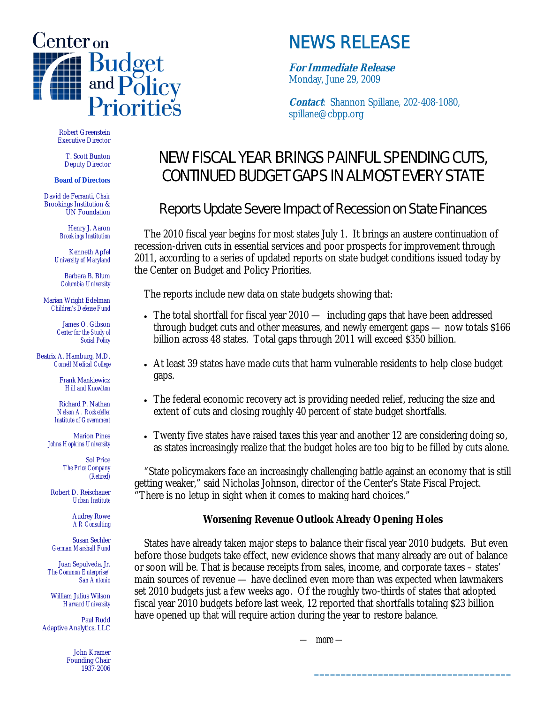

# NEWS RELEASE

**For Immediate Release** Monday, June 29, 2009

**Contact**: Shannon Spillane, 202-408-1080, spillane@cbpp.org

Robert Greenstein Executive Director

T. Scott Bunton Deputy Director

#### **Board of Directors**

David de Ferranti, *Chair* Brookings Institution & UN Foundation

> Henry J. Aaron *Brookings Institution*

Kenneth Apfel *University of Maryland*

Barbara B. Blum *Columbia University*

Marian Wright Edelman *Children's Defense Fund*

> James O. Gibson *Center for the Study of Social Policy*

Beatrix A. Hamburg, M.D. *Cornell Medical College*

> Frank Mankiewicz *Hill and Knowlton*

Richard P. Nathan *Nelson A. Rockefeller Institute of Government*

Marion Pines *Johns Hopkins University*

> Sol Price *The Price Company (Retired)*

Robert D. Reischauer *Urban Institute*

> Audrey Rowe *AR Consulting*

Susan Sechler *German Marshall Fund*

Juan Sepulveda, Jr. *The Common Enterprise/ San Antonio*

William Julius Wilson *Harvard University*

Paul Rudd Adaptive Analytics, LLC

> John Kramer Founding Chair 1937-2006

## NEW FISCAL YEAR BRINGS PAINFUL SPENDING CUTS, CONTINUED BUDGET GAPS IN ALMOST EVERY STATE

## Reports Update Severe Impact of Recession on State Finances

The 2010 fiscal year begins for most states July 1. It brings an austere continuation of recession-driven cuts in essential services and poor prospects for improvement through 2011, according to a series of updated reports on state budget conditions issued today by the Center on Budget and Policy Priorities.

The reports include new data on state budgets showing that:

- The total shortfall for fiscal year 2010 including gaps that have been addressed through budget cuts and other measures, and newly emergent gaps — now totals \$166 billion across 48 states. Total gaps through 2011 will exceed \$350 billion.
- At least 39 states have made cuts that harm vulnerable residents to help close budget gaps.
- The federal economic recovery act is providing needed relief, reducing the size and extent of cuts and closing roughly 40 percent of state budget shortfalls.
- Twenty five states have raised taxes this year and another 12 are considering doing so, as states increasingly realize that the budget holes are too big to be filled by cuts alone.

"State policymakers face an increasingly challenging battle against an economy that is still getting weaker," said Nicholas Johnson, director of the Center's State Fiscal Project. There is no letup in sight when it comes to making hard choices."

### **Worsening Revenue Outlook Already Opening Holes**

States have already taken major steps to balance their fiscal year 2010 budgets. But even before those budgets take effect, new evidence shows that many already are out of balance or soon will be. That is because receipts from sales, income, and corporate taxes – states' main sources of revenue — have declined even more than was expected when lawmakers set 2010 budgets just a few weeks ago. Of the roughly two-thirds of states that adopted fiscal year 2010 budgets before last week, 12 reported that shortfalls totaling \$23 billion have opened up that will require action during the year to restore balance.

*— more —*

**\_\_\_\_\_\_\_\_\_\_\_\_\_\_\_\_\_\_\_\_\_\_\_\_\_\_\_\_\_\_\_\_\_\_\_\_\_**